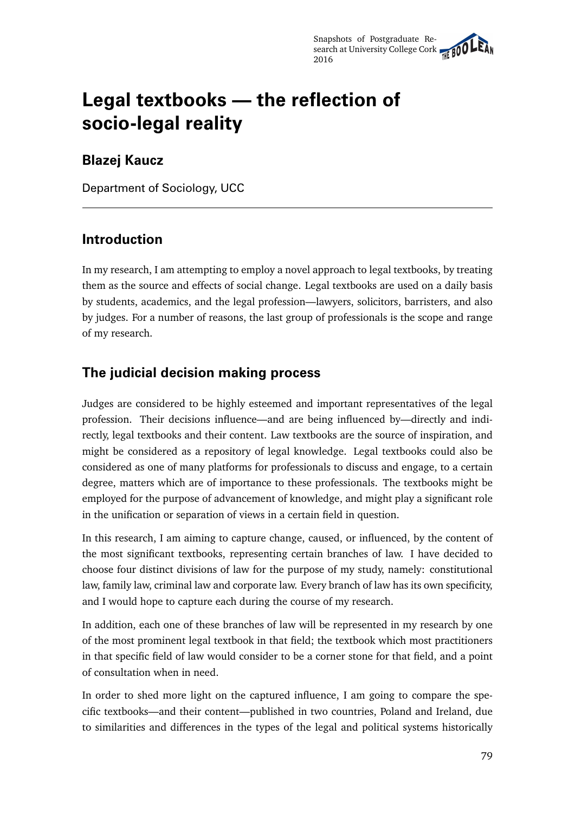# **Legal textbooks — the reflection of socio-legal reality**

## **Blazej Kaucz**

Department of Sociology, UCC

#### **Introduction**

In my research, I am attempting to employ a novel approach to legal textbooks, by treating them as the source and effects of social change. Legal textbooks are used on a daily basis by students, academics, and the legal profession—lawyers, solicitors, barristers, and also by judges. For a number of reasons, the last group of professionals is the scope and range of my research.

## **The judicial decision making process**

Judges are considered to be highly esteemed and important representatives of the legal profession. Their decisions influence—and are being influenced by—directly and indirectly, legal textbooks and their content. Law textbooks are the source of inspiration, and might be considered as a repository of legal knowledge. Legal textbooks could also be considered as one of many platforms for professionals to discuss and engage, to a certain degree, matters which are of importance to these professionals. The textbooks might be employed for the purpose of advancement of knowledge, and might play a significant role in the unification or separation of views in a certain field in question.

In this research, I am aiming to capture change, caused, or influenced, by the content of the most significant textbooks, representing certain branches of law. I have decided to choose four distinct divisions of law for the purpose of my study, namely: constitutional law, family law, criminal law and corporate law. Every branch of law has its own specificity, and I would hope to capture each during the course of my research.

In addition, each one of these branches of law will be represented in my research by one of the most prominent legal textbook in that field; the textbook which most practitioners in that specific field of law would consider to be a corner stone for that field, and a point of consultation when in need.

In order to shed more light on the captured influence, I am going to compare the specific textbooks—and their content—published in two countries, Poland and Ireland, due to similarities and differences in the types of the legal and political systems historically